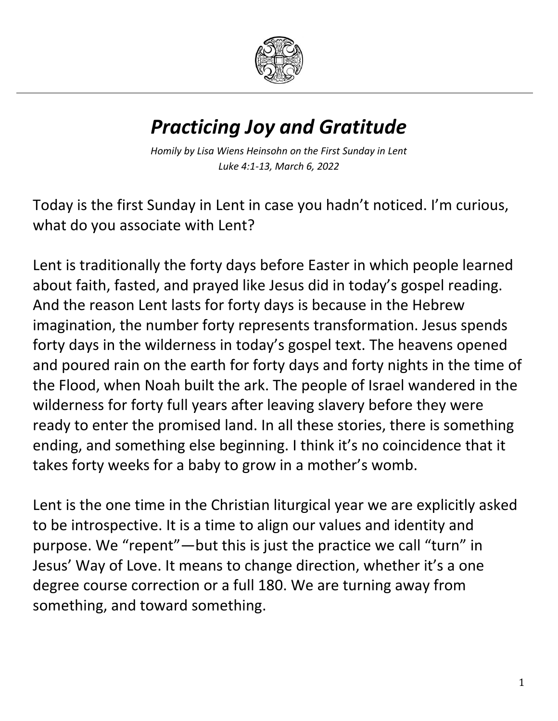

## *Practicing Joy and Gratitude*

*Homily by Lisa Wiens Heinsohn on the First Sunday in Lent Luke 4:1-13, March 6, 2022*

Today is the first Sunday in Lent in case you hadn't noticed. I'm curious, what do you associate with Lent?

Lent is traditionally the forty days before Easter in which people learned about faith, fasted, and prayed like Jesus did in today's gospel reading. And the reason Lent lasts for forty days is because in the Hebrew imagination, the number forty represents transformation. Jesus spends forty days in the wilderness in today's gospel text. The heavens opened and poured rain on the earth for forty days and forty nights in the time of the Flood, when Noah built the ark. The people of Israel wandered in the wilderness for forty full years after leaving slavery before they were ready to enter the promised land. In all these stories, there is something ending, and something else beginning. I think it's no coincidence that it takes forty weeks for a baby to grow in a mother's womb.

Lent is the one time in the Christian liturgical year we are explicitly asked to be introspective. It is a time to align our values and identity and purpose. We "repent"—but this is just the practice we call "turn" in Jesus' Way of Love. It means to change direction, whether it's a one degree course correction or a full 180. We are turning away from something, and toward something.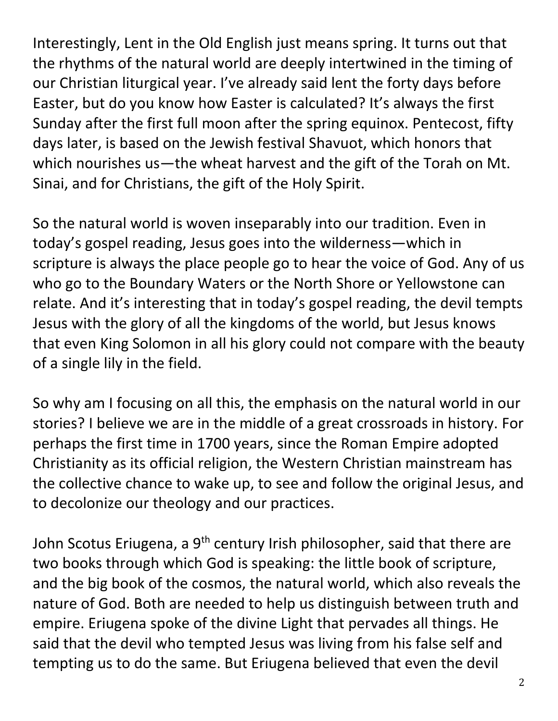Interestingly, Lent in the Old English just means spring. It turns out that the rhythms of the natural world are deeply intertwined in the timing of our Christian liturgical year. I've already said lent the forty days before Easter, but do you know how Easter is calculated? It's always the first Sunday after the first full moon after the spring equinox. Pentecost, fifty days later, is based on the Jewish festival Shavuot, which honors that which nourishes us—the wheat harvest and the gift of the Torah on Mt. Sinai, and for Christians, the gift of the Holy Spirit.

So the natural world is woven inseparably into our tradition. Even in today's gospel reading, Jesus goes into the wilderness—which in scripture is always the place people go to hear the voice of God. Any of us who go to the Boundary Waters or the North Shore or Yellowstone can relate. And it's interesting that in today's gospel reading, the devil tempts Jesus with the glory of all the kingdoms of the world, but Jesus knows that even King Solomon in all his glory could not compare with the beauty of a single lily in the field.

So why am I focusing on all this, the emphasis on the natural world in our stories? I believe we are in the middle of a great crossroads in history. For perhaps the first time in 1700 years, since the Roman Empire adopted Christianity as its official religion, the Western Christian mainstream has the collective chance to wake up, to see and follow the original Jesus, and to decolonize our theology and our practices.

John Scotus Eriugena, a 9<sup>th</sup> century Irish philosopher, said that there are two books through which God is speaking: the little book of scripture, and the big book of the cosmos, the natural world, which also reveals the nature of God. Both are needed to help us distinguish between truth and empire. Eriugena spoke of the divine Light that pervades all things. He said that the devil who tempted Jesus was living from his false self and tempting us to do the same. But Eriugena believed that even the devil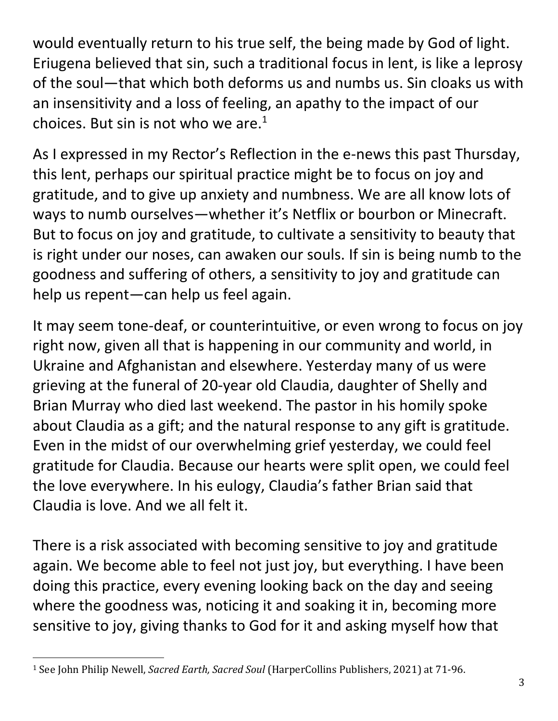would eventually return to his true self, the being made by God of light. Eriugena believed that sin, such a traditional focus in lent, is like a leprosy of the soul—that which both deforms us and numbs us. Sin cloaks us with an insensitivity and a loss of feeling, an apathy to the impact of our choices. But sin is not who we are. $<sup>1</sup>$ </sup>

As I expressed in my Rector's Reflection in the e-news this past Thursday, this lent, perhaps our spiritual practice might be to focus on joy and gratitude, and to give up anxiety and numbness. We are all know lots of ways to numb ourselves—whether it's Netflix or bourbon or Minecraft. But to focus on joy and gratitude, to cultivate a sensitivity to beauty that is right under our noses, can awaken our souls. If sin is being numb to the goodness and suffering of others, a sensitivity to joy and gratitude can help us repent—can help us feel again.

It may seem tone-deaf, or counterintuitive, or even wrong to focus on joy right now, given all that is happening in our community and world, in Ukraine and Afghanistan and elsewhere. Yesterday many of us were grieving at the funeral of 20-year old Claudia, daughter of Shelly and Brian Murray who died last weekend. The pastor in his homily spoke about Claudia as a gift; and the natural response to any gift is gratitude. Even in the midst of our overwhelming grief yesterday, we could feel gratitude for Claudia. Because our hearts were split open, we could feel the love everywhere. In his eulogy, Claudia's father Brian said that Claudia is love. And we all felt it.

There is a risk associated with becoming sensitive to joy and gratitude again. We become able to feel not just joy, but everything. I have been doing this practice, every evening looking back on the day and seeing where the goodness was, noticing it and soaking it in, becoming more sensitive to joy, giving thanks to God for it and asking myself how that

 $\overline{\phantom{a}}$ 

<sup>1</sup> See John Philip Newell, *Sacred Earth, Sacred Soul* (HarperCollins Publishers, 2021) at 71-96.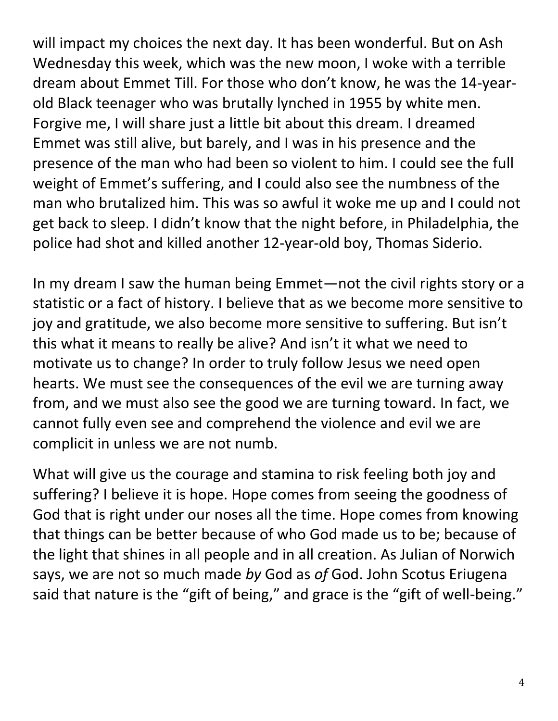will impact my choices the next day. It has been wonderful. But on Ash Wednesday this week, which was the new moon, I woke with a terrible dream about Emmet Till. For those who don't know, he was the 14-yearold Black teenager who was brutally lynched in 1955 by white men. Forgive me, I will share just a little bit about this dream. I dreamed Emmet was still alive, but barely, and I was in his presence and the presence of the man who had been so violent to him. I could see the full weight of Emmet's suffering, and I could also see the numbness of the man who brutalized him. This was so awful it woke me up and I could not get back to sleep. I didn't know that the night before, in Philadelphia, the police had shot and killed another 12-year-old boy, Thomas Siderio.

In my dream I saw the human being Emmet—not the civil rights story or a statistic or a fact of history. I believe that as we become more sensitive to joy and gratitude, we also become more sensitive to suffering. But isn't this what it means to really be alive? And isn't it what we need to motivate us to change? In order to truly follow Jesus we need open hearts. We must see the consequences of the evil we are turning away from, and we must also see the good we are turning toward. In fact, we cannot fully even see and comprehend the violence and evil we are complicit in unless we are not numb.

What will give us the courage and stamina to risk feeling both joy and suffering? I believe it is hope. Hope comes from seeing the goodness of God that is right under our noses all the time. Hope comes from knowing that things can be better because of who God made us to be; because of the light that shines in all people and in all creation. As Julian of Norwich says, we are not so much made *by* God as *of* God. John Scotus Eriugena said that nature is the "gift of being," and grace is the "gift of well-being."